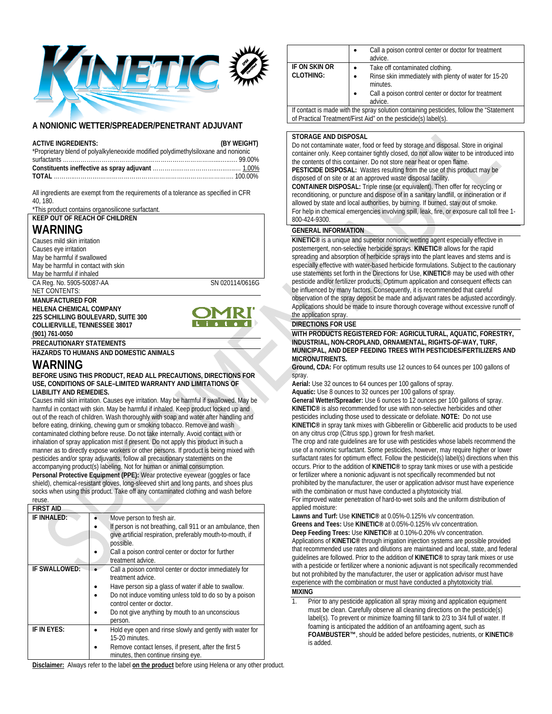

# **A NONIONIC WETTER/SPREADER/PENETRANT ADJUVANT**

| <b>ACTIVE INGREDIENTS:</b>                                                         | (BY WEIGHT) |
|------------------------------------------------------------------------------------|-------------|
| *Proprietary blend of polyalkyleneoxide modified polydimethylsiloxane and nonionic |             |
|                                                                                    |             |
|                                                                                    |             |
| <b>TOTAL</b> 100.00%                                                               |             |

All ingredients are exempt from the requirements of a tolerance as specified in CFR 40, 180.

\*This product contains organosilicone surfactant.

#### **KEEP OUT OF REACH OF CHILDREN WARNING**  Causes mild skin irritation Causes eye irritation May be harmful if swallowed May be harmful in contact with skin May be harmful if inhaled CA Reg. No. 5905-50087-AA SN 020114/0616G NET CONTENTS: **MANUFACTURED FOR HELENA CHEMICAL COMPANY 225 SCHILLING BOULEVARD, SUITE 300**   $t = d$ **COLLIERVILLE, TENNESSEE 38017 (901) 761-0050 PRECAUTIONARY STATEMENTS**

**HAZARDS TO HUMANS AND DOMESTIC ANIMALS** 

# **WARNING**

#### **BEFORE USING THIS PRODUCT, READ ALL PRECAUTIONS, DIRECTIONS FOR USE, CONDITIONS OF SALE–LIMITED WARRANTY AND LIMITATIONS OF LIABILITY AND REMEDIES.**

Causes mild skin irritation. Causes eye irritation. May be harmful if swallowed. May be harmful in contact with skin. May be harmful if inhaled. Keep product locked up and out of the reach of children. Wash thoroughly with soap and water after handling and before eating, drinking, chewing gum or smoking tobacco. Remove and wash contaminated clothing before reuse. Do not take internally. Avoid contact with or inhalation of spray application mist if present. Do not apply this product in such a manner as to directly expose workers or other persons. If product is being mixed with pesticides and/or spray adjuvants, follow all precautionary statements on the accompanying product(s) labeling. Not for human or animal consumption. **Personal Protective Equipment (PPE):** Wear protective eyewear (goggles or face shield), chemical-resistant gloves, long-sleeved shirt and long pants, and shoes plus socks when using this product. Take off any contaminated clothing and wash before reuse.

| <b>FIRST AID</b> |                                                                                                                                                                                                                                                                                           |
|------------------|-------------------------------------------------------------------------------------------------------------------------------------------------------------------------------------------------------------------------------------------------------------------------------------------|
| IF INHALED:      | Move person to fresh air.<br>If person is not breathing, call 911 or an ambulance, then<br>give artificial respiration, preferably mouth-to-mouth, if<br>possible.<br>Call a poison control center or doctor for further<br>treatment advice.                                             |
| IF SWALLOWED:    | Call a poison control center or doctor immediately for<br>treatment advice.<br>Have person sip a glass of water if able to swallow.<br>Do not induce vomiting unless told to do so by a poison<br>control center or doctor.<br>Do not give anything by mouth to an unconscious<br>person. |
| IF IN EYES:      | Hold eye open and rinse slowly and gently with water for<br>15-20 minutes.<br>Remove contact lenses, if present, after the first 5<br>minutes, then continue rinsing eye.                                                                                                                 |

|                                                                                          | Call a poison control center or doctor for treatment<br>advice.                |
|------------------------------------------------------------------------------------------|--------------------------------------------------------------------------------|
| IF ON SKIN OR                                                                            | Take off contaminated clothing.<br>$\bullet$                                   |
| <b>CLOTHING:</b>                                                                         | Rinse skin immediately with plenty of water for 15-20<br>$\bullet$<br>minutes. |
|                                                                                          | Call a poison control center or doctor for treatment                           |
|                                                                                          | advice.                                                                        |
| If contact is made with the spray solution containing pesticides, follow the "Statement" |                                                                                |

of Practical Treatment/First Aid" on the pesticide(s) label(s).

## **STORAGE AND DISPOSAL**

Do not contaminate water, food or feed by storage and disposal. Store in original container only. Keep container tightly closed, do not allow water to be introduced into the contents of this container. Do not store near heat or open flame. **PESTICIDE DISPOSAL:** Wastes resulting from the use of this product may be disposed of on site or at an approved waste disposal facility.

**CONTAINER DISPOSAL:** Triple rinse (or equivalent). Then offer for recycling or reconditioning, or puncture and dispose of in a sanitary landfill, or incineration or if allowed by state and local authorities, by burning. If burned, stay out of smoke. For help in chemical emergencies involving spill, leak, fire, or exposure call toll free 1- 800-424-9300.

## **GENERAL INFORMATION**

**KINETIC®** is a unique and superior nonionic wetting agent especially effective in postemergent, non-selective herbicide sprays. **KINETIC®** allows for the rapid spreading and absorption of herbicide sprays into the plant leaves and stems and is especially effective with water-based herbicide formulations. Subject to the cautionary use statements set forth in the Directions for Use, **KINETIC®** may be used with other pesticide and/or fertilizer products. Optimum application and consequent effects can be influenced by many factors. Consequently, it is recommended that careful observation of the spray deposit be made and adjuvant rates be adjusted accordingly. Applications should be made to insure thorough coverage without excessive runoff of

## the application spray. **DIRECTIONS FOR USE**

**WITH PRODUCTS REGISTERED FOR: AGRICULTURAL, AQUATIC, FORESTRY, INDUSTRIAL, NON-CROPLAND, ORNAMENTAL, RIGHTS-OF-WAY, TURF, MUNICIPAL, AND DEEP FEEDING TREES WITH PESTICIDES/FERTILIZERS AND MICRONUTRIENTS.** 

**Ground, CDA:** For optimum results use 12 ounces to 64 ounces per 100 gallons of spray.

**Aerial:** Use 32 ounces to 64 ounces per 100 gallons of spray.

**Aquatic:** Use 8 ounces to 32 ounces per 100 gallons of spray.

**General Wetter/Spreader:** Use 6 ounces to 12 ounces per 100 gallons of spray. **KINETIC®** is also recommended for use with non-selective herbicides and other pesticides including those used to dessicate or defoliate. **NOTE:** Do not use **KINETIC®** in spray tank mixes with Gibberellin or Gibberellic acid products to be used on any citrus crop (Citrus spp.) grown for fresh market.

The crop and rate guidelines are for use with pesticides whose labels recommend the use of a nonionic surfactant. Some pesticides, however, may require higher or lower surfactant rates for optimum effect. Follow the pesticide(s) label(s) directions when this occurs. Prior to the addition of **KINETIC®** to spray tank mixes or use with a pesticide or fertilizer where a nonionic adjuvant is not specifically recommended but not prohibited by the manufacturer, the user or application advisor must have experience with the combination or must have conducted a phytotoxicity trial. For improved water penetration of hard-to-wet soils and the uniform distribution of

applied moisture:

**Lawns and Turf:** Use **KINETIC®** at 0.05%-0.125% v/v concentration. **Greens and Tees:** Use **KINETIC®** at 0.05%-0.125% v/v concentration. **Deep Feeding Trees:** Use **KINETIC®** at 0.10%-0.20% v/v concentration. Applications of **KINETIC®** through irrigation injection systems are possible provided that recommended use rates and dilutions are maintained and local, state, and federal guidelines are followed. Prior to the addition of **KINETIC®** to spray tank mixes or use with a pesticide or fertilizer where a nonionic adjuvant is not specifically recommended but not prohibited by the manufacturer, the user or application advisor must have experience with the combination or must have conducted a phytotoxicity trial.

## **MIXING**

1. Prior to any pesticide application all spray mixing and application equipment must be clean. Carefully observe all cleaning directions on the pesticide(s) label(s). To prevent or minimize foaming fill tank to 2/3 to 3/4 full of water. If foaming is anticipated the addition of an antifoaming agent, such as **FOAMBUSTER™**, should be added before pesticides, nutrients, or **KINETIC®** is added.

**Disclaimer:** Always refer to the label **on the product** before using Helena or any other product.